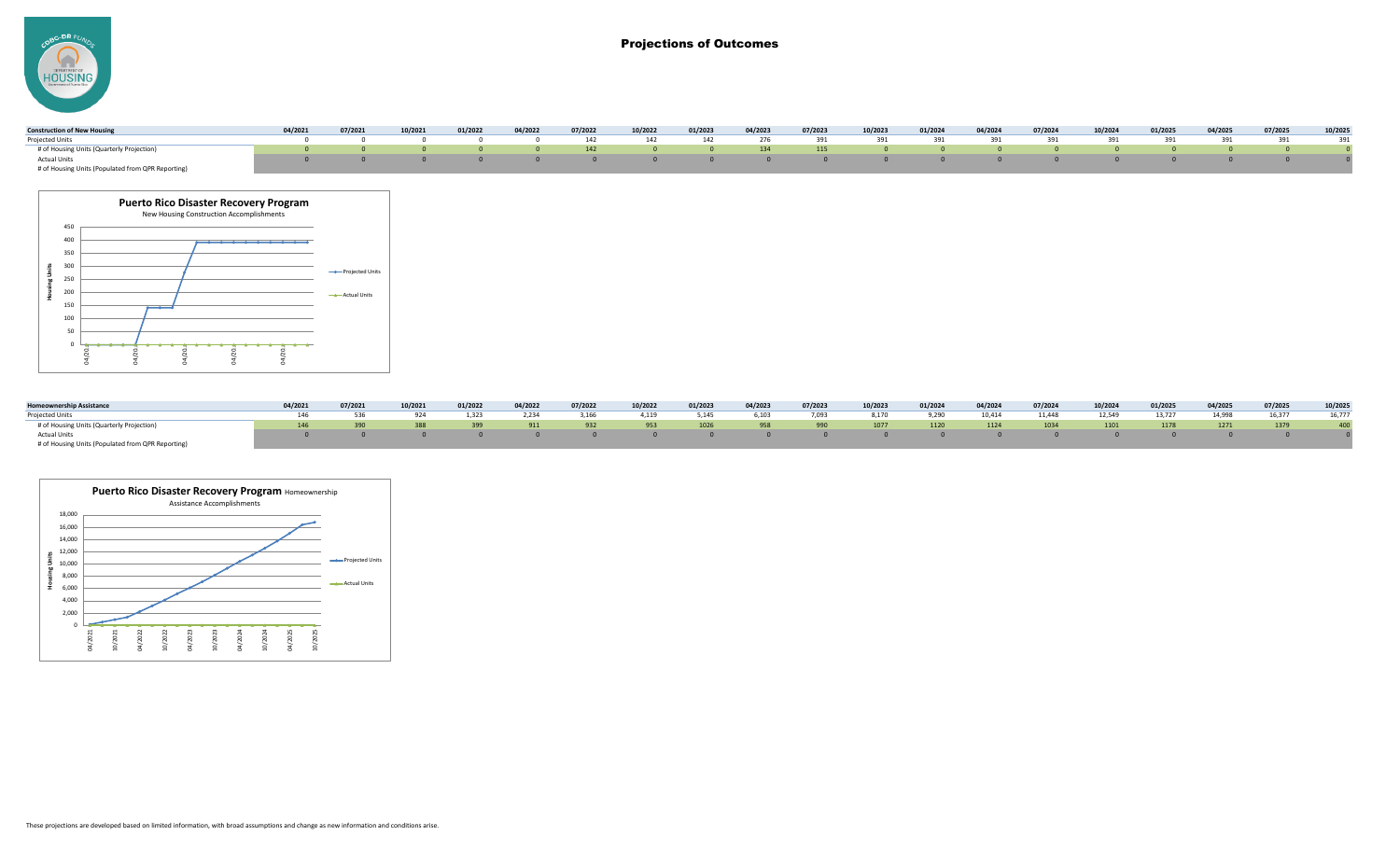-DR F **HOUSING** 

# Projections of Outcomes

| <b>Construction of New Housing</b>                | 04/2021 | 07/2021 | 10/2021 | 01/2022 | 04/2022 | 07/2022 | 10/2022                                                                                                          | 01/2023 | 04/2023 | 07/2023 | 10/2023 | 01/2024 | 04/2024 | 07/2024 | 10/2024 | 01/2025 | 04/2025 | 07/2025 | 10/2025 |
|---------------------------------------------------|---------|---------|---------|---------|---------|---------|------------------------------------------------------------------------------------------------------------------|---------|---------|---------|---------|---------|---------|---------|---------|---------|---------|---------|---------|
| Projected Units                                   |         |         |         |         |         |         | 0      0      0      0     142     142     142     276     391     391     391     391     391      391      391 |         |         |         |         |         |         |         |         |         |         |         |         |
| # of Housing Units (Quarterly Projection)         |         |         |         |         |         |         |                                                                                                                  |         |         |         |         |         |         |         |         |         |         |         |         |
| Actual Units                                      |         |         |         |         |         |         |                                                                                                                  |         |         |         |         |         |         |         |         |         |         |         |         |
| # of Housing Units (Populated from QPR Reporting) |         |         |         |         |         |         |                                                                                                                  |         |         |         |         |         |         |         |         |         |         |         |         |



| <b>Homeownership Assistance</b>                   | 04/2021 | 07/2021 | 10/2021 | 01/2022 | 04/2022 | 07/2022 | 10/2022 | 01/2023               | 04/2023        | 07/2023 | 10/2023                                                | 01/2024  | 04/2024  | 07/2024 | 10/2024 | 01/2025 | 04/2025 | 07/2025 | 10/2025 |
|---------------------------------------------------|---------|---------|---------|---------|---------|---------|---------|-----------------------|----------------|---------|--------------------------------------------------------|----------|----------|---------|---------|---------|---------|---------|---------|
| Projected Units                                   |         |         | 924     | 1,323   | 2,234   | 3,166   | 4,119   | 5,145                 | 6,103          | 7,093   | 8,170                                                  | 9,290    | 10,414   | 11,448  | 12,549  | 13,727  | 14,998  | 16,377  | 16,777  |
| # of Housing Units (Quarterly Projection)         | 146     |         | 388     | 399     | $-911$  | 932     | 953     | 1026                  | 958            | 990     | 1077                                                   | 1120     | 1124     | 1034    | 1101    | 1178    | 1271    | 1379    | 400     |
| <b>Actual Units</b>                               |         |         |         |         |         |         |         | $\Omega$ and $\Omega$ | $\overline{0}$ |         | $\begin{array}{ccc} 0 & \cdot & \cdot & 0 \end{array}$ | $\sim$ 0 | $\Omega$ |         |         |         |         |         |         |
| # of Housing Units (Populated from QPR Reporting) |         |         |         |         |         |         |         |                       |                |         |                                                        |          |          |         |         |         |         |         |         |

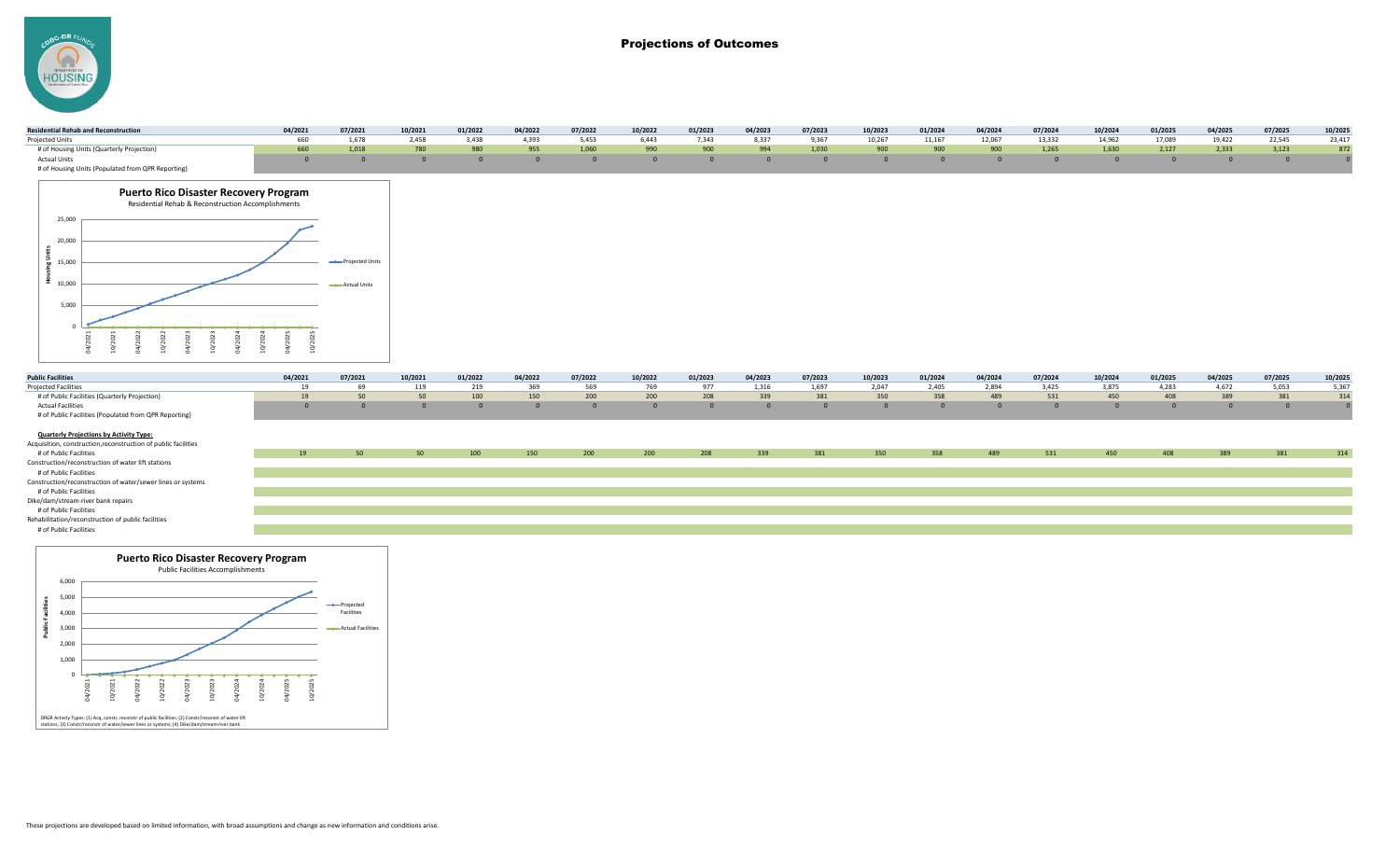-DR F **HOUSING** 

# Projections of Outcomes

| <b>Residential Rehab and Reconstruction</b> | 04/2021 | 07/2021 | 10/2021 | 01/2022 | 04/2022 | 07/2022 | 10/2022 | 01/2023     | 04/2023 | 07/2023            | 10/2023 | 01/2024 | 04/2024 | 07/2024 | 10/2024 | 01/2025 | 04/2025 | 07/2025 | 10/2025 |
|---------------------------------------------|---------|---------|---------|---------|---------|---------|---------|-------------|---------|--------------------|---------|---------|---------|---------|---------|---------|---------|---------|---------|
| Projected Units                             |         | 1.678   | 2,458   | 3,438   | 4,393   | 5,453   |         | 6,443 7,343 |         | 8,337 9,367 10,267 |         | 11,167  | 12,067  | 13,332  | 14,962  | 17,089  | 19,422  | 22,545  | 23,417  |
| # of Housing Units (Quarterly Projection)   |         | 1.018   | 780     | 980     | 955     | 1,060   | 990     | 900         | 994     | 1,030              | 900     | 900     | 900     | 1,265   | 1,630   | 2,127   | 2,333   | 3,123   | 872     |
| Actual Units                                |         |         |         |         |         |         |         |             |         |                    |         |         |         |         |         |         |         |         |         |
|                                             |         |         |         |         |         |         |         |             |         |                    |         |         |         |         |         |         |         |         |         |



| <b>Public Facilities</b>                              | 04/2021 | 07/2021                                                                                                                                                                                                                         | 10/2021 | 01/2022 | 04/2022 | 07/2022     | 10/2022 | 01/2023 | 04/2023 | 07/2023 | 10/2023 | 01/2024 | 04/2024 | 07/2024 | 10/2024        | 01/2025 | 04/2025 | 07/2025 | 10/2025 |
|-------------------------------------------------------|---------|---------------------------------------------------------------------------------------------------------------------------------------------------------------------------------------------------------------------------------|---------|---------|---------|-------------|---------|---------|---------|---------|---------|---------|---------|---------|----------------|---------|---------|---------|---------|
| <b>Projected Facilities</b>                           |         | 69 - 100 - 100 - 100 - 100 - 100 - 100 - 100 - 100 - 100 - 100 - 100 - 100 - 100 - 100 - 100 - 100 - 100 - 100 - 100 - 100 - 100 - 100 - 100 - 100 - 100 - 100 - 100 - 100 - 100 - 100 - 100 - 100 - 100 - 100 - 100 - 100 - 10 | 119     |         | 219 369 | 569 769 977 |         |         | 1,316   | 1,697   | 2,047   | 2,405   | 2,894   | 3,425   | 3.875          | 4,283   | 4,672   | 5.053   | 5,367   |
| # of Public Facilities (Quarterly Projection)         |         |                                                                                                                                                                                                                                 | 50      | 100     | 150     | 200         | 200     | 208     | 339     | 381     | 350     | 358     | 489     | 531     | 450            | 408     | 389     |         | 314     |
| <b>Actual Facilities</b>                              |         |                                                                                                                                                                                                                                 |         |         |         |             |         |         |         |         |         |         |         |         | $\overline{a}$ |         |         |         |         |
| # of Public Facilities (Populated from QPR Reporting) |         |                                                                                                                                                                                                                                 |         |         |         |             |         |         |         |         |         |         |         |         |                |         |         |         |         |

### **Quarterly Projections by Activity Type:**

| Acquisition, construction, reconstruction of public facilities |    |  |     |     |     |     |     |     |     |     |     |     |     |     |     |     |     |     |
|----------------------------------------------------------------|----|--|-----|-----|-----|-----|-----|-----|-----|-----|-----|-----|-----|-----|-----|-----|-----|-----|
| # of Public Facilities                                         | 19 |  | 100 | 150 | 200 | 200 | 208 | 339 | 381 | 350 | 358 | 489 | 531 | 450 | 408 | 389 | 381 | 314 |
| Construction/reconstruction of water lift stations             |    |  |     |     |     |     |     |     |     |     |     |     |     |     |     |     |     |     |
| # of Public Facilities                                         |    |  |     |     |     |     |     |     |     |     |     |     |     |     |     |     |     |     |
| Construction/reconstruction of water/sewer lines or systems    |    |  |     |     |     |     |     |     |     |     |     |     |     |     |     |     |     |     |
| # of Public Facilities                                         |    |  |     |     |     |     |     |     |     |     |     |     |     |     |     |     |     |     |
| Dike/dam/stream-river bank repairs                             |    |  |     |     |     |     |     |     |     |     |     |     |     |     |     |     |     |     |
| # of Public Facilities                                         |    |  |     |     |     |     |     |     |     |     |     |     |     |     |     |     |     |     |
| Rehabilitation/reconstruction of public facilities             |    |  |     |     |     |     |     |     |     |     |     |     |     |     |     |     |     |     |
| # of Public Facilities                                         |    |  |     |     |     |     |     |     |     |     |     |     |     |     |     |     |     |     |